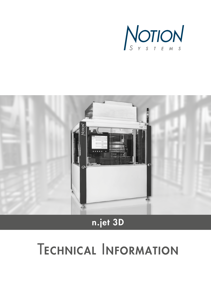



# n.jet 3D

# **TECHNICAL INFORMATION**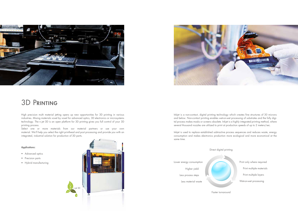Inkjet is a non-contact, digital printing technology which creates fine structures of 30 microns and below. Non-contact printing enables wet-on-wet processing of substrates and the fully digital process makes masks or screens obsolete. Inkjet is a highly integrated printing method, where several thousand nozzles are utilized to print at production speeds of up to 2 meters/sec.

Inkjet is used to replace established subtractive process sequences and reduces waste, energy consumption and makes electronics production more ecological and more economical at the same time.

Faster turnaround



Print only where required Print multiple materials Print multiple layers

Wet-on-wet processing

High precision multi material jetting opens up new opportunities for 3D printing in various industries. Mixing materials voxel by voxel for advanced optics, 3D electronics or microsystems technology. The n.jet 3D is an open platform for 3D printing gives you full control of your 3D printing process.

Select one or more materials from our material partners or use your own material. We'll help you select the right printhead and post processing and provide you with an integrated, industrial solution for production of 3D parts.

#### Applications:

- Advanced optics
- Precision parts
- Hybrid manufacturing





### 3D Printing

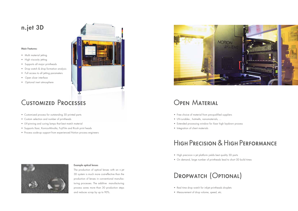#### Example optical lenses

- Free choice of material from pre-qualified suppliers
- UV-curables , hotmelts, nanomaterials, ...
- Extended processing window for Xaar high laydown process
- Integration of client materials

The production of optical lenses with an n.jet 3D system is much more cost-effective than the production of lenses in conventional manufacturing processes. The additive manufacturing process saves more than 30 production steps and reduces scrap by up to 90%.



### n.jet 3D

- Multi material jetting
- High viscosity jetting
- Supports all major printheads
- Drop watch & drop formation analysis
- Full access to all jetting parameters
- Open slicer interface
- Optional inert atmosphere



### Open Material

- High precision n.jet platform yields best quality 3D parts
- On demand, large number of printheads lead to short 3D build times

## High Precision & High Performance

- Real time drop watch for inkjet printheads droplets
- Measurement of drop volume, speed, etc.



#### Main Features:

### Customized Processes

- Customized process for outstanding 3D printed parts
- Custom selection and number of printheads
- UV-pinning and curing lamps that best match material
- Supports Xaar, Konica-Minolta, FujiFilm and Ricoh print heads
- Process scale-up support from experienced Notion process engineers



# Dropwatch (Optional)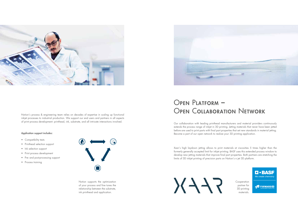Our collaboration with leading printhead manufacturers and material providers continuously extends the process range of inkjet in 3D printing. Jetting materials that never have been jetted before are used to print parts with final part properties that set new standards in material jetting. Become a part of our open network to realize your 3D printing application.

# Open Platform – Notion's process & engineering team relies on decades of expertise in scaling up functional<br> **OPEN COLLABORATION NETWORK**

- Compatibility tests
- Printhead selection support
- Ink selection support
- Print process development
- Pre- and post-processing support
- Process training



Xaar's high laydown jetting allows to print materials at viscosities 5 times higher than the formerly generally accepted limit for inkjet printing. BASF uses this extended process window to develop new jetting materials that improve final part properties. Both partners are stretching the limits of 3D inkjet printing of precision parts on Notion's n.jet 3D platform.

 $5/7/$ 

**Cooperation** partner for 3D printing materials.





inkjet processes to industrial production. We support our end users and partners in all aspects of print process development: printhead, ink, substrate, and all intricate interactions involved.

#### Application support includes:

Notion supports the optimization of your process and fine tunes the relationship between the substrate, ink printhead and application.